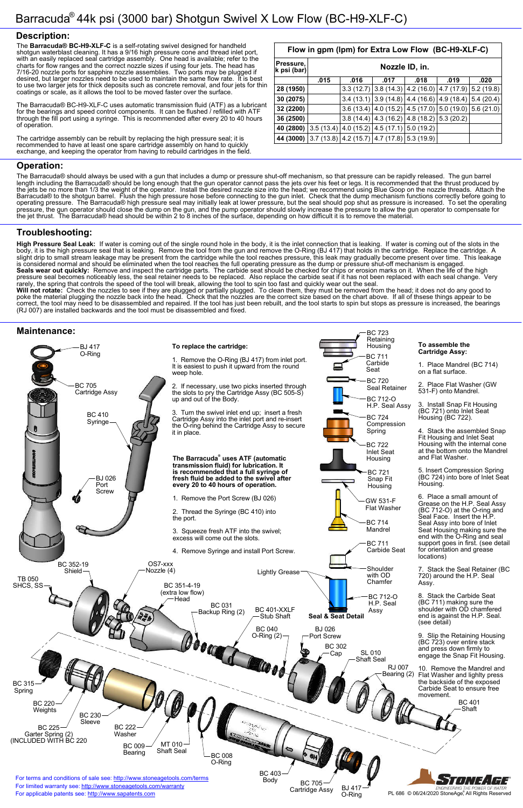### **Description:**

### **Operation:**

## **Troubleshooting:**

### **Maintenance:**

The **Barracuda® BC-H9-XLF-C** is a self-rotating swivel designed for handheld shotgun waterblast cleaning. It has a 9/16 high pressure cone and thread inlet port, with an easily replaced seal cartridge assembly. One head is available; refer to the charts for flow ranges and the correct nozzle sizes if using four jets. The head has 7/16-20 nozzle ports for sapphire nozzle assemblies. Two ports may be plugged if desired, but larger nozzles need to be used to maintain the same flow rate. It is best to use two larger jets for thick deposits such as concrete removal, and four jets for thin coatings or scale, as it allows the tool to be moved faster over the surface.

The Barracuda® BC-H9-XLF-C uses automatic transmission fluid (ATF) as a lubricant for the bearings and speed control components. It can be flushed / refilled with ATF through the fill port using a syringe. This is recommended after every 20 to 40 hours of operation.

The cartridge assembly can be rebuilt by replacing the high pressure seal; it is recommended to have at least one spare cartridge assembly on hand to quickly exchange, and keeping the operator from having to rebuild cartridges in the field.

The Barracuda® should always be used with a gun that includes a dump or pressure shut-off mechanism, so that pressure can be rapidly released. The gun barrel length including the Barracuda® should be long enough that the gun operator cannot pass the jets over his feet or legs. It is recommended that the thrust produced by the jets be no more than 1/3 the weight of the operator. Install the desired nozzle size into the head; we recommend using Blue Goop on the nozzle threads. Attach the Barracuda® to the shotgun barrel. Flush the high pressure hose before connecting to the gun inlet. Check that the dump mechanism functions correctly before going to operating pressure. The Barracuda® high pressure seal may initially leak at lower pressure, but the seal should pop shut as pressure is increased. To set the operating pressure, the gun operator should close the dump on the gun, and the pump operator should slowly increase the pressure to allow the gun operator to compensate for the jet thrust. The Barracuda® head should be within 2 to 8 inches of the surface, depending on how difficult it is to remove the material.



**High Pressure Seal Leak:** If water is coming out of the single round hole in the body, it is the inlet connection that is leaking. If water is coming out of the slots in the body, it is the high pressure seal that is leaking. Remove the tool from the gun and remove the O-Ring (BJ 417) that holds in the cartridge. Replace the cartridge. A slight drip to small stream leakage may be present from the cartridge while the tool reaches pressure, this leak may gradually become present over time. This leakage is considered normal and should be eliminated when the tool reaches the full operating pressure as the dump or pressure shut-off mechanism is engaged. **Seals wear out quickly:** Remove and inspect the cartridge parts. The carbide seat should be checked for chips or erosion marks on it. When the life of the high pressure seal becomes noticeably less, the seal retainer needs to be replaced. Also replace the carbide seat if it has not been replaced with each seal change. Very rarely, the spring that controls the speed of the tool will break, allowing the tool to spin too fast and quickly wear out the seal.

**Will not rotate:** Check the nozzles to see if they are plugged or partially plugged. To clean them, they must be removed from the head; it does not do any good to poke the material plugging the nozzle back into the head. Check that the nozzles are the correct size based on the chart above. If all of thsese things appear to be correct, the tool may need to be disassembled and repaired. If the tool has just been rebuilt, and the tool starts to spin but stops as pressure is increased, the bearings (RJ 007) are installed backwards and the tool must be disassembled and fixed.

**Flow in gpm (lpm) for Extra Low Flow (BC-H9-XLF-C)**

| Nozzle ID, in. |      |      |           |                                              |                                                                                                                                                                                                                                                                                     |
|----------------|------|------|-----------|----------------------------------------------|-------------------------------------------------------------------------------------------------------------------------------------------------------------------------------------------------------------------------------------------------------------------------------------|
| .015           | .016 | .017 | .018      | .019                                         | .020                                                                                                                                                                                                                                                                                |
|                |      |      |           |                                              |                                                                                                                                                                                                                                                                                     |
|                |      |      |           |                                              | 5.4(20.4)                                                                                                                                                                                                                                                                           |
|                |      |      |           |                                              | 5.6(21.0)                                                                                                                                                                                                                                                                           |
|                |      |      |           |                                              |                                                                                                                                                                                                                                                                                     |
|                |      |      |           |                                              |                                                                                                                                                                                                                                                                                     |
|                |      |      |           |                                              |                                                                                                                                                                                                                                                                                     |
|                |      |      | 3.6(13.4) | $3.5(13.4)$ 4.0 (15.2) 4.5 (17.1) 5.0 (19.2) | $3.3(12.7)$ $3.8(14.3)$ $4.2(16.0)$ $4.7(17.9)$ $5.2(19.8)$<br>$3.4$ (13.1) 3.9 (14.8) 4.4 (16.6) 4.9 (18.4)<br>(4.0 (15.2) (4.5 (17.0) (5.0 (19.0)))<br>$3.8(14.4)$   4.3 (16.2)   4.8 (18.2)   5.3 (20.2)<br>$3.7(13.8)$ $\vert$ 4.2 (15.7) $\vert$ 4.7 (17.8) $\vert$ 5.3 (19.9) |